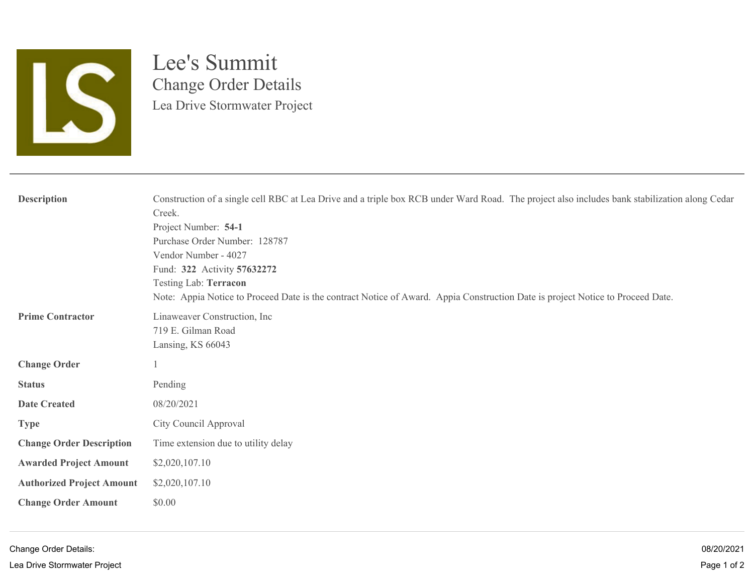

## Lee's Summit Change Order Details Lea Drive Stormwater Project

| <b>Description</b>               | Construction of a single cell RBC at Lea Drive and a triple box RCB under Ward Road. The project also includes bank stabilization along Cedar<br>Creek.<br>Project Number: 54-1<br>Purchase Order Number: 128787<br>Vendor Number - 4027<br>Fund: 322 Activity 57632272<br>Testing Lab: Terracon<br>Note: Appia Notice to Proceed Date is the contract Notice of Award. Appia Construction Date is project Notice to Proceed Date. |  |  |  |
|----------------------------------|------------------------------------------------------------------------------------------------------------------------------------------------------------------------------------------------------------------------------------------------------------------------------------------------------------------------------------------------------------------------------------------------------------------------------------|--|--|--|
| <b>Prime Contractor</b>          | Linaweaver Construction, Inc.<br>719 E. Gilman Road<br>Lansing, KS 66043                                                                                                                                                                                                                                                                                                                                                           |  |  |  |
| <b>Change Order</b>              |                                                                                                                                                                                                                                                                                                                                                                                                                                    |  |  |  |
| <b>Status</b>                    | Pending                                                                                                                                                                                                                                                                                                                                                                                                                            |  |  |  |
| <b>Date Created</b>              | 08/20/2021                                                                                                                                                                                                                                                                                                                                                                                                                         |  |  |  |
| <b>Type</b>                      | City Council Approval                                                                                                                                                                                                                                                                                                                                                                                                              |  |  |  |
| <b>Change Order Description</b>  | Time extension due to utility delay                                                                                                                                                                                                                                                                                                                                                                                                |  |  |  |
| <b>Awarded Project Amount</b>    | \$2,020,107.10                                                                                                                                                                                                                                                                                                                                                                                                                     |  |  |  |
| <b>Authorized Project Amount</b> | \$2,020,107.10                                                                                                                                                                                                                                                                                                                                                                                                                     |  |  |  |
| <b>Change Order Amount</b>       | \$0.00                                                                                                                                                                                                                                                                                                                                                                                                                             |  |  |  |